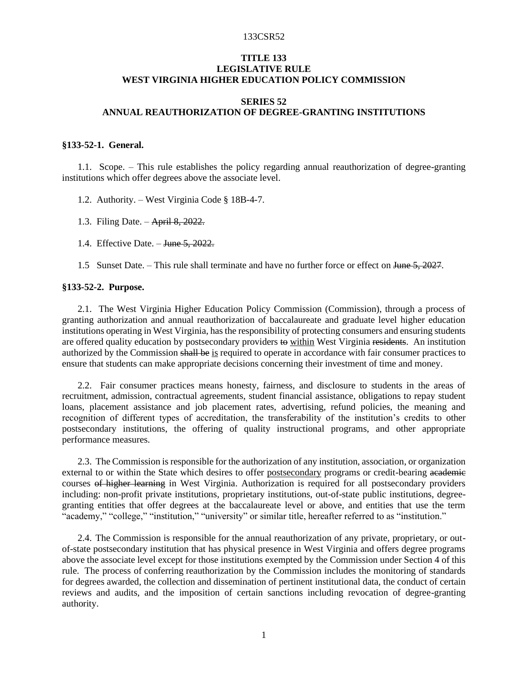## **TITLE 133 LEGISLATIVE RULE WEST VIRGINIA HIGHER EDUCATION POLICY COMMISSION**

# **SERIES 52 ANNUAL REAUTHORIZATION OF DEGREE-GRANTING INSTITUTIONS**

### **§133-52-1. General.**

1.1. Scope. – This rule establishes the policy regarding annual reauthorization of degree-granting institutions which offer degrees above the associate level.

1.2. Authority. – West Virginia Code § 18B-4-7.

- 1.3. Filing Date. April 8, 2022.
- 1.4. Effective Date. June 5, 2022.
- 1.5 Sunset Date. This rule shall terminate and have no further force or effect on June 5, 2027.

## **§133-52-2. Purpose.**

2.1. The West Virginia Higher Education Policy Commission (Commission), through a process of granting authorization and annual reauthorization of baccalaureate and graduate level higher education institutions operating in West Virginia, has the responsibility of protecting consumers and ensuring students are offered quality education by postsecondary providers to within West Virginia residents. An institution authorized by the Commission shall be is required to operate in accordance with fair consumer practices to ensure that students can make appropriate decisions concerning their investment of time and money.

2.2. Fair consumer practices means honesty, fairness, and disclosure to students in the areas of recruitment, admission, contractual agreements, student financial assistance, obligations to repay student loans, placement assistance and job placement rates, advertising, refund policies, the meaning and recognition of different types of accreditation, the transferability of the institution's credits to other postsecondary institutions, the offering of quality instructional programs, and other appropriate performance measures.

2.3. The Commission is responsible for the authorization of any institution, association, or organization external to or within the State which desires to offer postsecondary programs or credit-bearing academic courses of higher learning in West Virginia. Authorization is required for all postsecondary providers including: non-profit private institutions, proprietary institutions, out-of-state public institutions, degreegranting entities that offer degrees at the baccalaureate level or above, and entities that use the term "academy," "college," "institution," "university" or similar title, hereafter referred to as "institution."

2.4. The Commission is responsible for the annual reauthorization of any private, proprietary, or outof-state postsecondary institution that has physical presence in West Virginia and offers degree programs above the associate level except for those institutions exempted by the Commission under Section 4 of this rule. The process of conferring reauthorization by the Commission includes the monitoring of standards for degrees awarded, the collection and dissemination of pertinent institutional data, the conduct of certain reviews and audits, and the imposition of certain sanctions including revocation of degree-granting authority.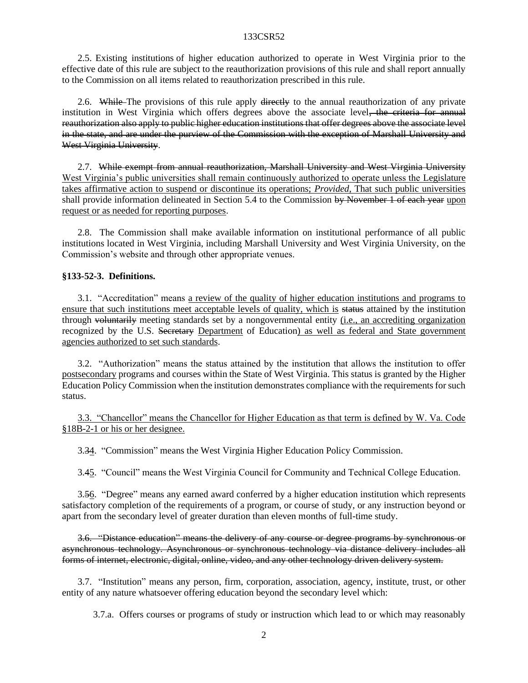2.5. Existing institutions of higher education authorized to operate in West Virginia prior to the effective date of this rule are subject to the reauthorization provisions of this rule and shall report annually to the Commission on all items related to reauthorization prescribed in this rule.

2.6. While The provisions of this rule apply directly to the annual reauthorization of any private institution in West Virginia which offers degrees above the associate level, the criteria for annual reauthorization also apply to public higher education institutions that offer degrees above the associate level in the state, and are under the purview of the Commission with the exception of Marshall University and West Virginia University.

2.7. While exempt from annual reauthorization, Marshall University and West Virginia University West Virginia's public universities shall remain continuously authorized to operate unless the Legislature takes affirmative action to suspend or discontinue its operations; *Provided*, That such public universities shall provide information delineated in Section 5.4 to the Commission by November 1 of each year upon request or as needed for reporting purposes.

2.8. The Commission shall make available information on institutional performance of all public institutions located in West Virginia, including Marshall University and West Virginia University, on the Commission's website and through other appropriate venues.

## **§133-52-3. Definitions.**

3.1. "Accreditation" means a review of the quality of higher education institutions and programs to ensure that such institutions meet acceptable levels of quality, which is status attained by the institution through voluntarily meeting standards set by a nongovernmental entity (i.e., an accrediting organization recognized by the U.S. Secretary Department of Education) as well as federal and State government agencies authorized to set such standards.

3.2. "Authorization" means the status attained by the institution that allows the institution to offer postsecondary programs and courses within the State of West Virginia. This status is granted by the Higher Education Policy Commission when the institution demonstrates compliance with the requirements for such status.

3.3. "Chancellor" means the Chancellor for Higher Education as that term is defined by W. Va. Code §18B-2-1 or his or her designee.

3.34. "Commission" means the West Virginia Higher Education Policy Commission.

3.45. "Council" means the West Virginia Council for Community and Technical College Education.

3.56. "Degree" means any earned award conferred by a higher education institution which represents satisfactory completion of the requirements of a program, or course of study, or any instruction beyond or apart from the secondary level of greater duration than eleven months of full-time study.

3.6. "Distance education" means the delivery of any course or degree programs by synchronous or asynchronous technology. Asynchronous or synchronous technology via distance delivery includes all forms of internet, electronic, digital, online, video, and any other technology driven delivery system.

3.7. "Institution" means any person, firm, corporation, association, agency, institute, trust, or other entity of any nature whatsoever offering education beyond the secondary level which:

3.7.a. Offers courses or programs of study or instruction which lead to or which may reasonably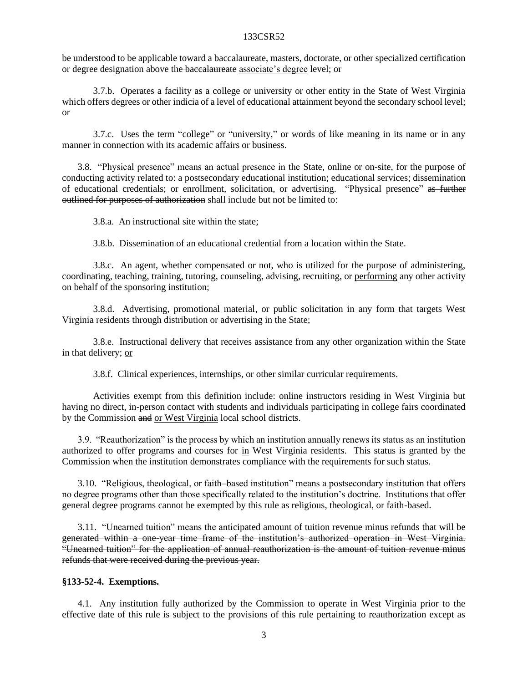be understood to be applicable toward a baccalaureate, masters, doctorate, or other specialized certification or degree designation above the baccalaureate associate's degree level; or

3.7.b. Operates a facility as a college or university or other entity in the State of West Virginia which offers degrees or other indicia of a level of educational attainment beyond the secondary school level; or

3.7.c. Uses the term "college" or "university," or words of like meaning in its name or in any manner in connection with its academic affairs or business.

3.8. "Physical presence" means an actual presence in the State, online or on-site, for the purpose of conducting activity related to: a postsecondary educational institution; educational services; dissemination of educational credentials; or enrollment, solicitation, or advertising. "Physical presence" as further outlined for purposes of authorization shall include but not be limited to:

3.8.a. An instructional site within the state;

3.8.b. Dissemination of an educational credential from a location within the State.

3.8.c. An agent, whether compensated or not, who is utilized for the purpose of administering, coordinating, teaching, training, tutoring, counseling, advising, recruiting, or performing any other activity on behalf of the sponsoring institution;

3.8.d. Advertising, promotional material, or public solicitation in any form that targets West Virginia residents through distribution or advertising in the State;

3.8.e. Instructional delivery that receives assistance from any other organization within the State in that delivery; or

3.8.f. Clinical experiences, internships, or other similar curricular requirements.

Activities exempt from this definition include: online instructors residing in West Virginia but having no direct, in-person contact with students and individuals participating in college fairs coordinated by the Commission and or West Virginia local school districts.

3.9. "Reauthorization" is the process by which an institution annually renews its status as an institution authorized to offer programs and courses for in West Virginia residents. This status is granted by the Commission when the institution demonstrates compliance with the requirements for such status.

3.10. "Religious, theological, or faith–based institution" means a postsecondary institution that offers no degree programs other than those specifically related to the institution's doctrine. Institutions that offer general degree programs cannot be exempted by this rule as religious, theological, or faith-based.

3.11. "Unearned tuition" means the anticipated amount of tuition revenue minus refunds that will be generated within a one-year time frame of the institution's authorized operation in West Virginia. "Unearned tuition" for the application of annual reauthorization is the amount of tuition revenue minus refunds that were received during the previous year.

## **§133-52-4. Exemptions.**

4.1. Any institution fully authorized by the Commission to operate in West Virginia prior to the effective date of this rule is subject to the provisions of this rule pertaining to reauthorization except as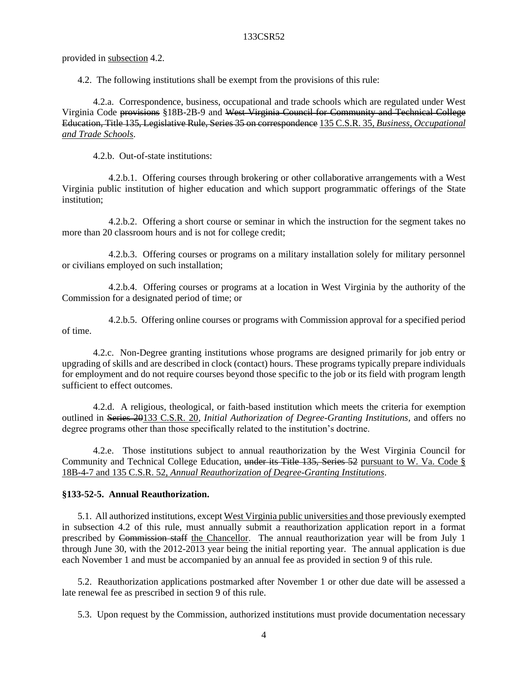provided in subsection 4.2.

4.2. The following institutions shall be exempt from the provisions of this rule:

4.2.a. Correspondence, business, occupational and trade schools which are regulated under West Virginia Code provisions §18B-2B-9 and West Virginia Council for Community and Technical College Education, Title 135, Legislative Rule, Series 35 on correspondence 135 C.S.R. 35, *Business, Occupational and Trade Schools*.

4.2.b. Out-of-state institutions:

4.2.b.1. Offering courses through brokering or other collaborative arrangements with a West Virginia public institution of higher education and which support programmatic offerings of the State institution;

4.2.b.2. Offering a short course or seminar in which the instruction for the segment takes no more than 20 classroom hours and is not for college credit;

4.2.b.3. Offering courses or programs on a military installation solely for military personnel or civilians employed on such installation;

4.2.b.4. Offering courses or programs at a location in West Virginia by the authority of the Commission for a designated period of time; or

4.2.b.5. Offering online courses or programs with Commission approval for a specified period of time.

4.2.c. Non-Degree granting institutions whose programs are designed primarily for job entry or upgrading of skills and are described in clock (contact) hours. These programs typically prepare individuals for employment and do not require courses beyond those specific to the job or its field with program length sufficient to effect outcomes.

4.2.d. A religious, theological, or faith-based institution which meets the criteria for exemption outlined in Series 20133 C.S.R. 20, *Initial Authorization of Degree-Granting Institutions,* and offers no degree programs other than those specifically related to the institution's doctrine.

4.2.e. Those institutions subject to annual reauthorization by the West Virginia Council for Community and Technical College Education, under its Title 135, Series 52 pursuant to W. Va. Code § 18B-4-7 and 135 C.S.R. 52, *Annual Reauthorization of Degree-Granting Institutions*.

## **§133-52-5. Annual Reauthorization.**

5.1. All authorized institutions, except West Virginia public universities and those previously exempted in subsection 4.2 of this rule, must annually submit a reauthorization application report in a format prescribed by Commission staff the Chancellor. The annual reauthorization year will be from July 1 through June 30, with the 2012-2013 year being the initial reporting year. The annual application is due each November 1 and must be accompanied by an annual fee as provided in section 9 of this rule.

5.2. Reauthorization applications postmarked after November 1 or other due date will be assessed a late renewal fee as prescribed in section 9 of this rule.

5.3. Upon request by the Commission, authorized institutions must provide documentation necessary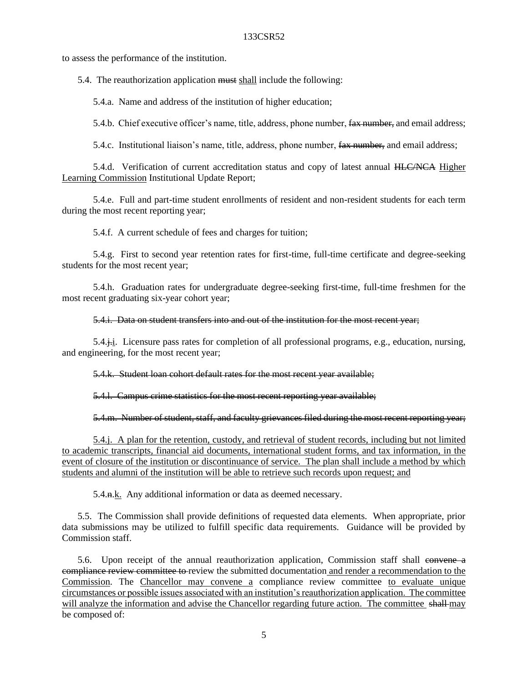to assess the performance of the institution.

5.4. The reauthorization application must shall include the following:

5.4.a. Name and address of the institution of higher education;

5.4.b. Chief executive officer's name, title, address, phone number, fax number, and email address;

5.4.c. Institutional liaison's name, title, address, phone number, fax number, and email address;

5.4.d. Verification of current accreditation status and copy of latest annual HLC/NCA Higher Learning Commission Institutional Update Report;

5.4.e. Full and part-time student enrollments of resident and non-resident students for each term during the most recent reporting year;

5.4.f. A current schedule of fees and charges for tuition;

5.4.g. First to second year retention rates for first-time, full-time certificate and degree-seeking students for the most recent year;

5.4.h. Graduation rates for undergraduate degree-seeking first-time, full-time freshmen for the most recent graduating six-year cohort year;

5.4.i. Data on student transfers into and out of the institution for the most recent year;

5.4.j.i. Licensure pass rates for completion of all professional programs, e.g., education, nursing, and engineering, for the most recent year;

5.4.k. Student loan cohort default rates for the most recent year available;

5.4.l. Campus crime statistics for the most recent reporting year available;

5.4.m. Number of student, staff, and faculty grievances filed during the most recent reporting year;

5.4.j. A plan for the retention, custody, and retrieval of student records, including but not limited to academic transcripts, financial aid documents, international student forms, and tax information, in the event of closure of the institution or discontinuance of service. The plan shall include a method by which students and alumni of the institution will be able to retrieve such records upon request; and

5.4.n.k. Any additional information or data as deemed necessary.

5.5. The Commission shall provide definitions of requested data elements. When appropriate, prior data submissions may be utilized to fulfill specific data requirements. Guidance will be provided by Commission staff.

5.6. Upon receipt of the annual reauthorization application, Commission staff shall convene a compliance review committee to review the submitted documentation and render a recommendation to the Commission. The Chancellor may convene a compliance review committee to evaluate unique circumstances or possible issues associated with an institution's reauthorization application. The committee will analyze the information and advise the Chancellor regarding future action. The committee shall-may be composed of: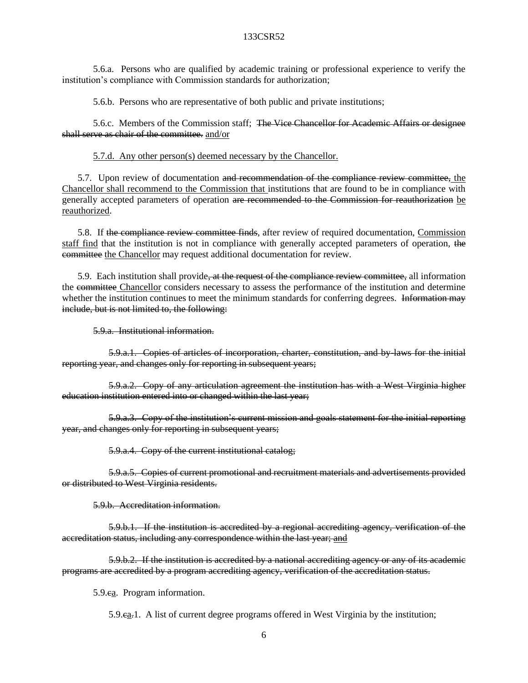5.6.a. Persons who are qualified by academic training or professional experience to verify the institution's compliance with Commission standards for authorization;

5.6.b. Persons who are representative of both public and private institutions;

5.6.c. Members of the Commission staff; The Vice Chancellor for Academic Affairs or designee shall serve as chair of the committee. and/or

5.7.d. Any other person(s) deemed necessary by the Chancellor.

5.7. Upon review of documentation and recommendation of the compliance review committee, the Chancellor shall recommend to the Commission that institutions that are found to be in compliance with generally accepted parameters of operation are recommended to the Commission for reauthorization be reauthorized.

5.8. If the compliance review committee finds, after review of required documentation, Commission staff find that the institution is not in compliance with generally accepted parameters of operation, the committee the Chancellor may request additional documentation for review.

5.9. Each institution shall provide<del>, at the request of the compliance review committee,</del> all information the committee Chancellor considers necessary to assess the performance of the institution and determine whether the institution continues to meet the minimum standards for conferring degrees. Information may include, but is not limited to, the following:

5.9.a. Institutional information.

5.9.a.1. Copies of articles of incorporation, charter, constitution, and by-laws for the initial reporting year, and changes only for reporting in subsequent years;

5.9.a.2. Copy of any articulation agreement the institution has with a West Virginia higher education institution entered into or changed within the last year;

5.9.a.3. Copy of the institution's current mission and goals statement for the initial reporting year, and changes only for reporting in subsequent years;

5.9.a.4. Copy of the current institutional catalog;

5.9.a.5. Copies of current promotional and recruitment materials and advertisements provided or distributed to West Virginia residents.

5.9.b. Accreditation information.

5.9.b.1. If the institution is accredited by a regional accrediting agency, verification of the accreditation status, including any correspondence within the last year; and

5.9.b.2. If the institution is accredited by a national accrediting agency or any of its academic programs are accredited by a program accrediting agency, verification of the accreditation status.

5.9.ea. Program information.

5.9.ca.1. A list of current degree programs offered in West Virginia by the institution;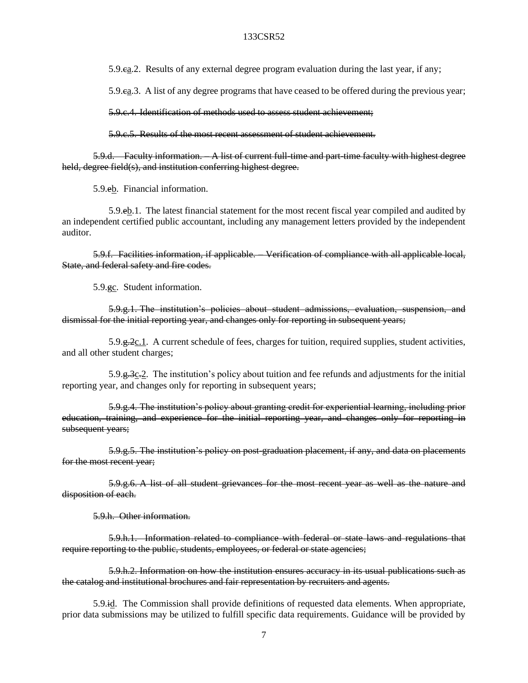5.9.ca.2. Results of any external degree program evaluation during the last year, if any;

5.9.ca.3. A list of any degree programs that have ceased to be offered during the previous year;

5.9.c.4. Identification of methods used to assess student achievement;

5.9.c.5. Results of the most recent assessment of student achievement.

5.9.d. Faculty information. – A list of current full-time and part-time faculty with highest degree held, degree field(s), and institution conferring highest degree.

5.9.eb. Financial information.

5.9.eb.1. The latest financial statement for the most recent fiscal year compiled and audited by an independent certified public accountant, including any management letters provided by the independent auditor.

5.9.f. Facilities information, if applicable. – Verification of compliance with all applicable local, State, and federal safety and fire codes.

5.9.gc. Student information.

5.9.g.1. The institution's policies about student admissions, evaluation, suspension, and dismissal for the initial reporting year, and changes only for reporting in subsequent years;

 $5.9.9.9.2c.1$ . A current schedule of fees, charges for tuition, required supplies, student activities, and all other student charges;

5.9. $\frac{q}{3c}$ . The institution's policy about tuition and fee refunds and adjustments for the initial reporting year, and changes only for reporting in subsequent years;

5.9.g.4. The institution's policy about granting credit for experiential learning, including prior education, training, and experience for the initial reporting year, and changes only for reporting in subsequent years;

5.9.g.5. The institution's policy on post-graduation placement, if any, and data on placements for the most recent year;

5.9.g.6. A list of all student grievances for the most recent year as well as the nature and disposition of each.

5.9.h. Other information.

5.9.h.1. Information related to compliance with federal or state laws and regulations that require reporting to the public, students, employees, or federal or state agencies;

5.9.h.2. Information on how the institution ensures accuracy in its usual publications such as the catalog and institutional brochures and fair representation by recruiters and agents.

5.9.id. The Commission shall provide definitions of requested data elements. When appropriate, prior data submissions may be utilized to fulfill specific data requirements. Guidance will be provided by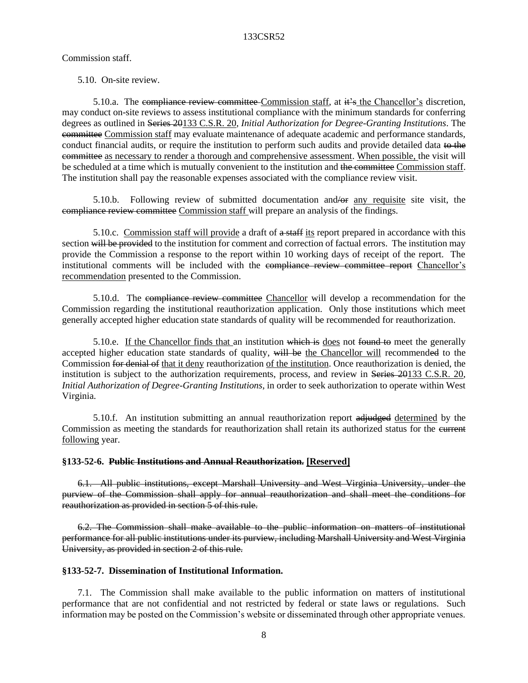# Commission staff.

# 5.10. On-site review.

5.10.a. The compliance review committee Commission staff, at  $\ddot{\textbf{t}}$  at  $\ddot{\textbf{t}}$  the Chancellor's discretion, may conduct on-site reviews to assess institutional compliance with the minimum standards for conferring degrees as outlined in Series 20133 C.S.R. 20, *Initial Authorization for Degree-Granting Institutions*. The committee Commission staff may evaluate maintenance of adequate academic and performance standards, conduct financial audits, or require the institution to perform such audits and provide detailed data to the committee as necessary to render a thorough and comprehensive assessment. When possible, the visit will be scheduled at a time which is mutually convenient to the institution and the committee Commission staff. The institution shall pay the reasonable expenses associated with the compliance review visit.

5.10.b. Following review of submitted documentation and/or any requisite site visit, the compliance review committee Commission staff will prepare an analysis of the findings.

5.10.c. Commission staff will provide a draft of a staff its report prepared in accordance with this section will be provided to the institution for comment and correction of factual errors. The institution may provide the Commission a response to the report within 10 working days of receipt of the report. The institutional comments will be included with the compliance review committee report Chancellor's recommendation presented to the Commission.

5.10.d. The compliance review committee Chancellor will develop a recommendation for the Commission regarding the institutional reauthorization application. Only those institutions which meet generally accepted higher education state standards of quality will be recommended for reauthorization.

5.10.e. If the Chancellor finds that an institution which is does not found to meet the generally accepted higher education state standards of quality, will be the Chancellor will recommended to the Commission for denial of that it deny reauthorization of the institution. Once reauthorization is denied, the institution is subject to the authorization requirements, process, and review in Series 20133 C.S.R. 20, *Initial Authorization of Degree-Granting Institutions*, in order to seek authorization to operate within West Virginia.

5.10.f. An institution submitting an annual reauthorization report adjudged determined by the Commission as meeting the standards for reauthorization shall retain its authorized status for the eurrent following year.

# **§133-52-6. Public Institutions and Annual Reauthorization. [Reserved]**

6.1. All public institutions, except Marshall University and West Virginia University, under the purview of the Commission shall apply for annual reauthorization and shall meet the conditions for reauthorization as provided in section 5 of this rule.

6.2. The Commission shall make available to the public information on matters of institutional performance for all public institutions under its purview, including Marshall University and West Virginia University, as provided in section 2 of this rule.

# **§133-52-7. Dissemination of Institutional Information.**

7.1. The Commission shall make available to the public information on matters of institutional performance that are not confidential and not restricted by federal or state laws or regulations. Such information may be posted on the Commission's website or disseminated through other appropriate venues.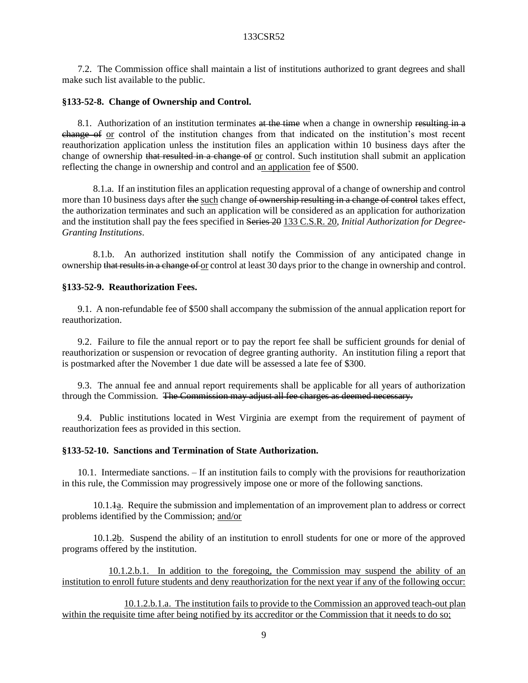7.2. The Commission office shall maintain a list of institutions authorized to grant degrees and shall make such list available to the public.

#### **§133-52-8. Change of Ownership and Control.**

8.1. Authorization of an institution terminates at the time when a change in ownership resulting in a change of or control of the institution changes from that indicated on the institution's most recent reauthorization application unless the institution files an application within 10 business days after the change of ownership that resulted in a change of or control. Such institution shall submit an application reflecting the change in ownership and control and an application fee of \$500.

8.1.a. If an institution files an application requesting approval of a change of ownership and control more than 10 business days after the such change of ownership resulting in a change of control takes effect, the authorization terminates and such an application will be considered as an application for authorization and the institution shall pay the fees specified in Series 20 133 C.S.R. 20, *Initial Authorization for Degree-Granting Institutions*.

8.1.b. An authorized institution shall notify the Commission of any anticipated change in ownership that results in a change of or control at least 30 days prior to the change in ownership and control.

### **§133-52-9. Reauthorization Fees.**

9.1. A non-refundable fee of \$500 shall accompany the submission of the annual application report for reauthorization.

9.2. Failure to file the annual report or to pay the report fee shall be sufficient grounds for denial of reauthorization or suspension or revocation of degree granting authority. An institution filing a report that is postmarked after the November 1 due date will be assessed a late fee of \$300.

9.3. The annual fee and annual report requirements shall be applicable for all years of authorization through the Commission. The Commission may adjust all fee charges as deemed necessary.

9.4. Public institutions located in West Virginia are exempt from the requirement of payment of reauthorization fees as provided in this section.

# **§133-52-10. Sanctions and Termination of State Authorization.**

10.1. Intermediate sanctions. – If an institution fails to comply with the provisions for reauthorization in this rule, the Commission may progressively impose one or more of the following sanctions.

10.1.1a. Require the submission and implementation of an improvement plan to address or correct problems identified by the Commission; and/or

10.1.2b. Suspend the ability of an institution to enroll students for one or more of the approved programs offered by the institution.

10.1.2.b.1. In addition to the foregoing, the Commission may suspend the ability of an institution to enroll future students and deny reauthorization for the next year if any of the following occur:

10.1.2.b.1.a. The institution fails to provide to the Commission an approved teach-out plan within the requisite time after being notified by its accreditor or the Commission that it needs to do so;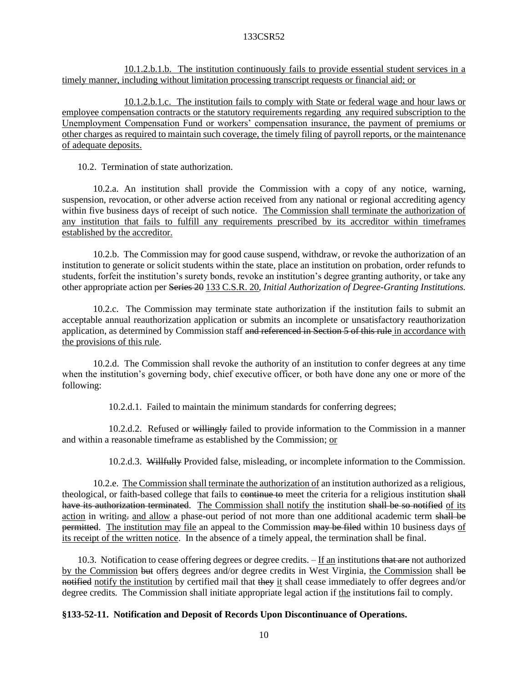10.1.2.b.1.b. The institution continuously fails to provide essential student services in a timely manner, including without limitation processing transcript requests or financial aid; or

10.1.2.b.1.c. The institution fails to comply with State or federal wage and hour laws or employee compensation contracts or the statutory requirements regarding any required subscription to the Unemployment Compensation Fund or workers' compensation insurance, the payment of premiums or other charges as required to maintain such coverage, the timely filing of payroll reports, or the maintenance of adequate deposits.

10.2. Termination of state authorization.

10.2.a. An institution shall provide the Commission with a copy of any notice, warning, suspension, revocation, or other adverse action received from any national or regional accrediting agency within five business days of receipt of such notice. The Commission shall terminate the authorization of any institution that fails to fulfill any requirements prescribed by its accreditor within timeframes established by the accreditor.

10.2.b. The Commission may for good cause suspend, withdraw, or revoke the authorization of an institution to generate or solicit students within the state, place an institution on probation, order refunds to students, forfeit the institution's surety bonds, revoke an institution's degree granting authority, or take any other appropriate action per Series 20 133 C.S.R. 20, *Initial Authorization of Degree-Granting Institutions.*

10.2.c. The Commission may terminate state authorization if the institution fails to submit an acceptable annual reauthorization application or submits an incomplete or unsatisfactory reauthorization application, as determined by Commission staff and referenced in Section 5 of this rule in accordance with the provisions of this rule.

10.2.d. The Commission shall revoke the authority of an institution to confer degrees at any time when the institution's governing body, chief executive officer, or both have done any one or more of the following:

10.2.d.1. Failed to maintain the minimum standards for conferring degrees;

10.2.d.2. Refused or willingly failed to provide information to the Commission in a manner and within a reasonable timeframe as established by the Commission; or

10.2.d.3. Willfully Provided false, misleading, or incomplete information to the Commission.

10.2.e. The Commission shall terminate the authorization of an institution authorized as a religious, theological, or faith-based college that fails to continue to meet the criteria for a religious institution shall have its authorization terminated. The Commission shall notify the institution shall be so notified of its action in writing. and allow a phase-out period of not more than one additional academic term shall be permitted. The institution may file an appeal to the Commission may be filed within 10 business days of its receipt of the written notice. In the absence of a timely appeal, the termination shall be final.

10.3. Notification to cease offering degrees or degree credits. – If an institutions that are not authorized by the Commission but offers degrees and/or degree credits in West Virginia, the Commission shall be notified notify the institution by certified mail that they it shall cease immediately to offer degrees and/or degree credits. The Commission shall initiate appropriate legal action if the institutions fail to comply.

# **§133-52-11. Notification and Deposit of Records Upon Discontinuance of Operations.**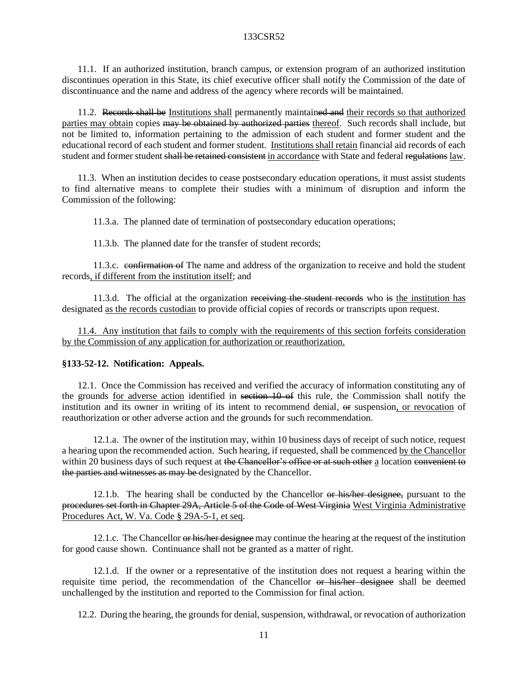11.1. If an authorized institution, branch campus, or extension program of an authorized institution discontinues operation in this State, its chief executive officer shall notify the Commission of the date of discontinuance and the name and address of the agency where records will be maintained.

11.2. Records shall be Institutions shall permanently maintained and their records so that authorized parties may obtain copies may be obtained by authorized parties thereof. Such records shall include, but not be limited to, information pertaining to the admission of each student and former student and the educational record of each student and former student. Institutions shall retain financial aid records of each student and former student shall be retained consistent in accordance with State and federal regulations law.

11.3. When an institution decides to cease postsecondary education operations, it must assist students to find alternative means to complete their studies with a minimum of disruption and inform the Commission of the following:

11.3.a. The planned date of termination of postsecondary education operations;

11.3.b. The planned date for the transfer of student records;

11.3.c. confirmation of The name and address of the organization to receive and hold the student records, if different from the institution itself; and

11.3.d. The official at the organization receiving the student records who is the institution has designated as the records custodian to provide official copies of records or transcripts upon request.

11.4. Any institution that fails to comply with the requirements of this section forfeits consideration by the Commission of any application for authorization or reauthorization.

#### **§133-52-12. Notification: Appeals.**

12.1. Once the Commission has received and verified the accuracy of information constituting any of the grounds for adverse action identified in section 10 of this rule, the Commission shall notify the institution and its owner in writing of its intent to recommend denial, or suspension, or revocation of reauthorization or other adverse action and the grounds for such recommendation.

12.1.a. The owner of the institution may, within 10 business days of receipt of such notice, request a hearing upon the recommended action. Such hearing, if requested, shall be commenced by the Chancellor within 20 business days of such request at the Chancellor's office or at such other a location convenient to the parties and witnesses as may be designated by the Chancellor.

12.1.b. The hearing shall be conducted by the Chancellor or his/her designee, pursuant to the procedures set forth in Chapter 29A, Article 5 of the Code of West Virginia West Virginia Administrative Procedures Act, W. Va. Code § 29A-5-1, et seq.

12.1.c. The Chancellor or his/her designee may continue the hearing at the request of the institution for good cause shown. Continuance shall not be granted as a matter of right.

12.1.d. If the owner or a representative of the institution does not request a hearing within the requisite time period, the recommendation of the Chancellor or his/her designee shall be deemed unchallenged by the institution and reported to the Commission for final action.

12.2. During the hearing, the grounds for denial, suspension, withdrawal, or revocation of authorization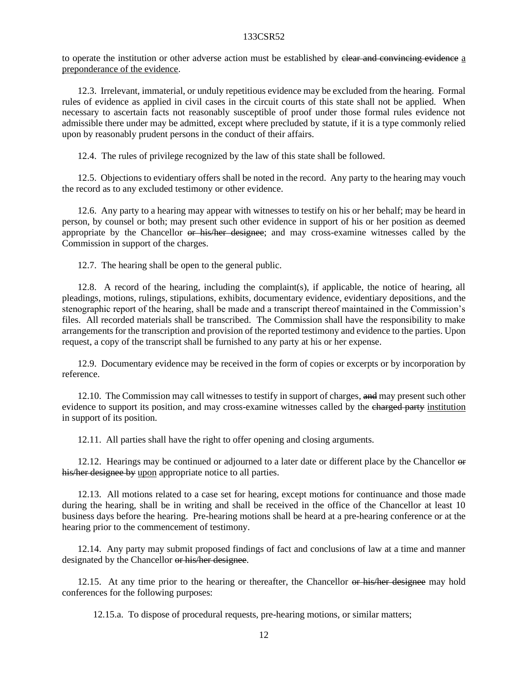to operate the institution or other adverse action must be established by elear and convincing evidence a preponderance of the evidence.

12.3. Irrelevant, immaterial, or unduly repetitious evidence may be excluded from the hearing. Formal rules of evidence as applied in civil cases in the circuit courts of this state shall not be applied. When necessary to ascertain facts not reasonably susceptible of proof under those formal rules evidence not admissible there under may be admitted, except where precluded by statute, if it is a type commonly relied upon by reasonably prudent persons in the conduct of their affairs.

12.4. The rules of privilege recognized by the law of this state shall be followed.

12.5. Objections to evidentiary offers shall be noted in the record. Any party to the hearing may vouch the record as to any excluded testimony or other evidence.

12.6. Any party to a hearing may appear with witnesses to testify on his or her behalf; may be heard in person, by counsel or both; may present such other evidence in support of his or her position as deemed appropriate by the Chancellor or his/her designee; and may cross-examine witnesses called by the Commission in support of the charges.

12.7. The hearing shall be open to the general public.

12.8. A record of the hearing, including the complaint(s), if applicable, the notice of hearing, all pleadings, motions, rulings, stipulations, exhibits, documentary evidence, evidentiary depositions, and the stenographic report of the hearing, shall be made and a transcript thereof maintained in the Commission's files. All recorded materials shall be transcribed. The Commission shall have the responsibility to make arrangements for the transcription and provision of the reported testimony and evidence to the parties. Upon request, a copy of the transcript shall be furnished to any party at his or her expense.

12.9. Documentary evidence may be received in the form of copies or excerpts or by incorporation by reference.

12.10. The Commission may call witnesses to testify in support of charges, and may present such other evidence to support its position, and may cross-examine witnesses called by the charged party institution in support of its position.

12.11. All parties shall have the right to offer opening and closing arguments.

12.12. Hearings may be continued or adjourned to a later date or different place by the Chancellor  $\Theta$ his/her designee by upon appropriate notice to all parties.

12.13. All motions related to a case set for hearing, except motions for continuance and those made during the hearing, shall be in writing and shall be received in the office of the Chancellor at least 10 business days before the hearing. Pre-hearing motions shall be heard at a pre-hearing conference or at the hearing prior to the commencement of testimony.

12.14. Any party may submit proposed findings of fact and conclusions of law at a time and manner designated by the Chancellor or his/her designee.

12.15. At any time prior to the hearing or thereafter, the Chancellor or his/her designee may hold conferences for the following purposes:

12.15.a. To dispose of procedural requests, pre-hearing motions, or similar matters;